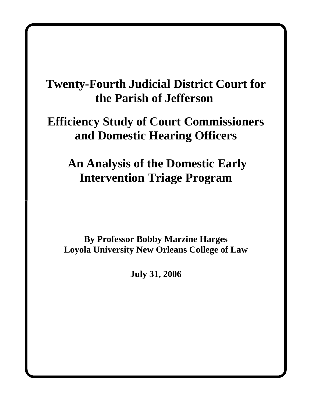# **Twenty-Fourth Judicial District Court for the Parish of Jefferson**

# **Efficiency Study of Court Commissioners and Domestic Hearing Officers**

# **An Analysis of the Domestic Early Intervention Triage Program**

**By Professor Bobby Marzine Harges Loyola University New Orleans College of Law**

**July 31, 2006**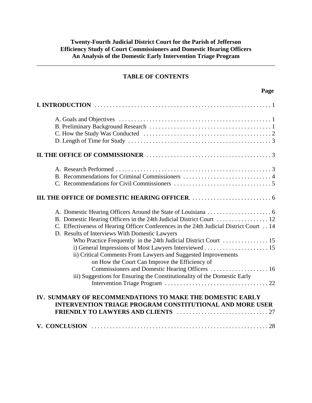## **TABLE OF CONTENTS**

\_\_\_\_\_\_\_\_\_\_\_\_\_\_\_\_\_\_\_\_\_\_\_\_\_\_\_\_\_\_\_\_\_\_\_\_\_\_\_\_\_\_\_\_\_\_\_\_\_\_\_\_\_\_\_\_\_\_\_\_\_\_\_\_\_\_\_\_\_\_\_\_\_\_\_\_\_\_

| C. Effectiveness of Hearing Officer Conferences in the 24th Judicial District Court 14<br>D. Results of Interviews With Domestic Lawyers<br>ii) Critical Comments From Lawyers and Suggested Improvements<br>on How the Court Can Improve the Efficiency of<br>iii) Suggestions for Ensuring the Constitutionality of the Domestic Early |
|------------------------------------------------------------------------------------------------------------------------------------------------------------------------------------------------------------------------------------------------------------------------------------------------------------------------------------------|
| IV. SUMMARY OF RECOMMENDATIONS TO MAKE THE DOMESTIC EARLY<br><b>INTERVENTION TRIAGE PROGRAM CONSTITUTIONAL AND MORE USER</b>                                                                                                                                                                                                             |
|                                                                                                                                                                                                                                                                                                                                          |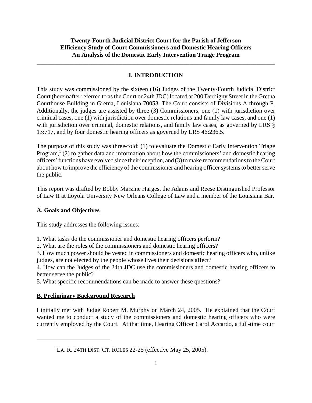## **I. INTRODUCTION**

\_\_\_\_\_\_\_\_\_\_\_\_\_\_\_\_\_\_\_\_\_\_\_\_\_\_\_\_\_\_\_\_\_\_\_\_\_\_\_\_\_\_\_\_\_\_\_\_\_\_\_\_\_\_\_\_\_\_\_\_\_\_\_\_\_\_\_\_\_\_\_\_\_\_\_\_\_\_

This study was commissioned by the sixteen (16) Judges of the Twenty-Fourth Judicial District Court (hereinafter referred to as the Court or 24th JDC) located at 200 Derbigny Street in the Gretna Courthouse Building in Gretna, Louisiana 70053. The Court consists of Divisions A through P. Additionally, the judges are assisted by three (3) Commissioners, one (1) with jurisdiction over criminal cases, one (1) with jurisdiction over domestic relations and family law cases, and one (1) with jurisdiction over criminal, domestic relations, and family law cases, as governed by LRS § 13:717, and by four domestic hearing officers as governed by LRS 46:236.5.

The purpose of this study was three-fold: (1) to evaluate the Domestic Early Intervention Triage Program,<sup>1</sup> (2) to gather data and information about how the commissioners' and domestic hearing officers' functions have evolved since their inception, and (3) to make recommendations to the Court about how to improve the efficiency of the commissioner and hearing officer systems to better serve the public.

This report was drafted by Bobby Marzine Harges, the Adams and Reese Distinguished Professor of Law II at Loyola University New Orleans College of Law and a member of the Louisiana Bar.

## **A. Goals and Objectives**

This study addresses the following issues:

1. What tasks do the commissioner and domestic hearing officers perform?

2. What are the roles of the commissioners and domestic hearing officers?

3. How much power should be vested in commissioners and domestic hearing officers who, unlike judges, are not elected by the people whose lives their decisions affect?

4. How can the Judges of the 24th JDC use the commissioners and domestic hearing officers to better serve the public?

5. What specific recommendations can be made to answer these questions?

# **B. Preliminary Background Research**

I initially met with Judge Robert M. Murphy on March 24, 2005. He explained that the Court wanted me to conduct a study of the commissioners and domestic hearing officers who were currently employed by the Court. At that time, Hearing Officer Carol Accardo, a full-time court

<sup>&</sup>lt;sup>1</sup>LA. R. 24TH DIST. CT. RULES  $22-25$  (effective May 25, 2005).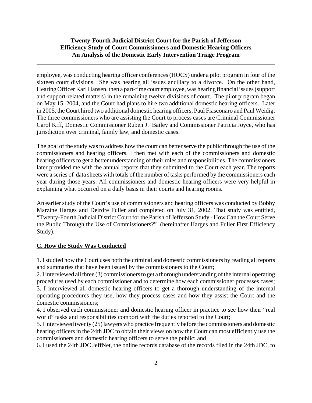\_\_\_\_\_\_\_\_\_\_\_\_\_\_\_\_\_\_\_\_\_\_\_\_\_\_\_\_\_\_\_\_\_\_\_\_\_\_\_\_\_\_\_\_\_\_\_\_\_\_\_\_\_\_\_\_\_\_\_\_\_\_\_\_\_\_\_\_\_\_\_\_\_\_\_\_\_\_

employee, was conducting hearing officer conferences (HOCS) under a pilot program in four of the sixteen court divisions. She was hearing all issues ancillary to a divorce. On the other hand, Hearing Officer Karl Hansen, then a part-time court employee, was hearing financial issues (support and support-related matters) in the remaining twelve divisions of court. The pilot program began on May 15, 2004, and the Court had plans to hire two additional domestic hearing officers. Later in 2005, the Court hired two additional domestic hearing officers, Paul Fiasconaro and Paul Weidig. The three commissioners who are assisting the Court to process cases are Criminal Commissioner Carol Kiff, Domestic Commissioner Ruben J. Bailey and Commissioner Patricia Joyce, who has jurisdiction over criminal, family law, and domestic cases.

The goal of the study was to address how the court can better serve the public through the use of the commissioners and hearing officers. I then met with each of the commissioners and domestic hearing officers to get a better understanding of their roles and responsibilities. The commissioners later provided me with the annual reports that they submitted to the Court each year. The reports were a series of data sheets with totals of the number of tasks performed by the commissioners each year during those years. All commissioners and domestic hearing officers were very helpful in explaining what occurred on a daily basis in their courts and hearing rooms.

An earlier study of the Court's use of commissioners and hearing officers was conducted by Bobby Marzine Harges and Deirdre Fuller and completed on July 31, 2002. That study was entitled, "Twenty-Fourth Judicial District Court for the Parish of Jefferson Study - How Can the Court Serve the Public Through the Use of Commissioners?" (hereinafter Harges and Fuller First Efficiency Study).

#### **C. How the Study Was Conducted**

1. I studied how the Court uses both the criminal and domestic commissioners by reading all reports and summaries that have been issued by the commissioners to the Court;

2. I interviewed all three (3) commissioners to get a thorough understanding of the internal operating procedures used by each commissioner and to determine how each commissioner processes cases; 3. I interviewed all domestic hearing officers to get a thorough understanding of the internal operating procedures they use, how they process cases and how they assist the Court and the domestic commissioners;

4. I observed each commissioner and domestic hearing officer in practice to see how their "real world" tasks and responsibilities comport with the duties reported to the Court;

5. I interviewed twenty (25) lawyers who practice frequently before the commissioners and domestic hearing officers in the 24th JDC to obtain their views on how the Court can most efficiently use the commissioners and domestic hearing officers to serve the public; and

6. I used the 24th JDC JeffNet, the online records database of the records filed in the 24th JDC, to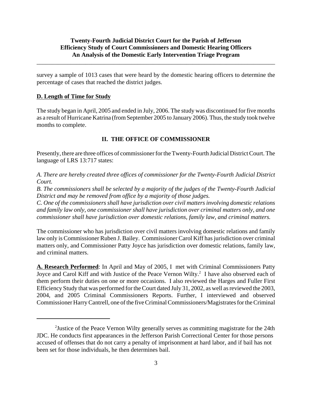\_\_\_\_\_\_\_\_\_\_\_\_\_\_\_\_\_\_\_\_\_\_\_\_\_\_\_\_\_\_\_\_\_\_\_\_\_\_\_\_\_\_\_\_\_\_\_\_\_\_\_\_\_\_\_\_\_\_\_\_\_\_\_\_\_\_\_\_\_\_\_\_\_\_\_\_\_\_

survey a sample of 1013 cases that were heard by the domestic hearing officers to determine the percentage of cases that reached the district judges.

#### **D. Length of Time for Study**

The study began in April, 2005 and ended in July, 2006. The study was discontinued for five months as a result of Hurricane Katrina (from September 2005 to January 2006). Thus, the study took twelve months to complete.

#### **II. THE OFFICE OF COMMISSIONER**

Presently, there are three offices of commissioner for the Twenty-Fourth Judicial District Court. The language of LRS 13:717 states:

*A. There are hereby created three offices of commissioner for the Twenty-Fourth Judicial District Court.*

*B. The commissioners shall be selected by a majority of the judges of the Twenty-Fourth Judicial District and may be removed from office by a majority of those judges.*

*C. One of the commissioners shall have jurisdiction over civil matters involving domestic relations and family law only, one commissioner shall have jurisdiction over criminal matters only, and one commissioner shall have jurisdiction over domestic relations, family law, and criminal matters.*

The commissioner who has jurisdiction over civil matters involving domestic relations and family law only is Commissioner Ruben J. Bailey. Commissioner Carol Kiff has jurisdiction over criminal matters only, and Commissioner Patty Joyce has jurisdiction over domestic relations, family law, and criminal matters.

**A. Research Performed**: In April and May of 2005, I met with Criminal Commissioners Patty Joyce and Carol Kiff and with Justice of the Peace Vernon Wilty.<sup>2</sup> I have also observed each of them perform their duties on one or more occasions. I also reviewed the Harges and Fuller First Efficiency Study that was performed for the Court dated July 31, 2002, as well as reviewed the 2003, 2004, and 2005 Criminal Commissioners Reports. Further, I interviewed and observed Commissioner Harry Cantrell, one of the five Criminal Commissioners/Magistrates for the Criminal

<sup>&</sup>lt;sup>2</sup> Justice of the Peace Vernon Wilty generally serves as committing magistrate for the 24th JDC. He conducts first appearances in the Jefferson Parish Correctional Center for those persons accused of offenses that do not carry a penalty of imprisonment at hard labor, and if bail has not been set for those individuals, he then determines bail.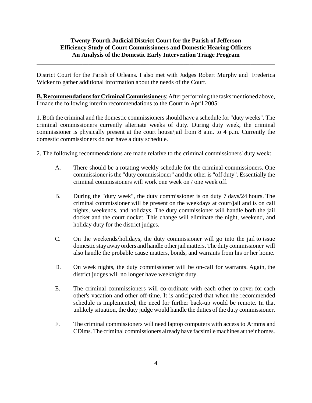\_\_\_\_\_\_\_\_\_\_\_\_\_\_\_\_\_\_\_\_\_\_\_\_\_\_\_\_\_\_\_\_\_\_\_\_\_\_\_\_\_\_\_\_\_\_\_\_\_\_\_\_\_\_\_\_\_\_\_\_\_\_\_\_\_\_\_\_\_\_\_\_\_\_\_\_\_\_

District Court for the Parish of Orleans. I also met with Judges Robert Murphy and Frederica Wicker to gather additional information about the needs of the Court.

**B. Recommendations for Criminal Commissioners**: After performing the tasks mentioned above, I made the following interim recommendations to the Court in April 2005:

1. Both the criminal and the domestic commissioners should have a schedule for "duty weeks". The criminal commissioners currently alternate weeks of duty. During duty week, the criminal commissioner is physically present at the court house/jail from 8 a.m. to 4 p.m. Currently the domestic commissioners do not have a duty schedule.

2. The following recommendations are made relative to the criminal commissioners' duty week:

- A. There should be a rotating weekly schedule for the criminal commissioners. One commissioner is the "duty commissioner" and the other is "off duty". Essentially the criminal commissioners will work one week on / one week off.
- B. During the "duty week", the duty commissioner is on duty 7 days/24 hours. The criminal commissioner will be present on the weekdays at court/jail and is on call nights, weekends, and holidays. The duty commissioner will handle both the jail docket and the court docket. This change will eliminate the night, weekend, and holiday duty for the district judges.
- C. On the weekends/holidays, the duty commissioner will go into the jail to issue domestic stay away orders and handle other jail matters. The duty commissioner will also handle the probable cause matters, bonds, and warrants from his or her home.
- D. On week nights, the duty commissioner will be on-call for warrants. Again, the district judges will no longer have weeknight duty.
- E. The criminal commissioners will co-ordinate with each other to cover for each other's vacation and other off-time. It is anticipated that when the recommended schedule is implemented, the need for further back-up would be remote. In that unlikely situation, the duty judge would handle the duties of the duty commissioner.
- F. The criminal commissioners will need laptop computers with access to Armms and CDims. The criminal commissioners already have facsimile machines at their homes.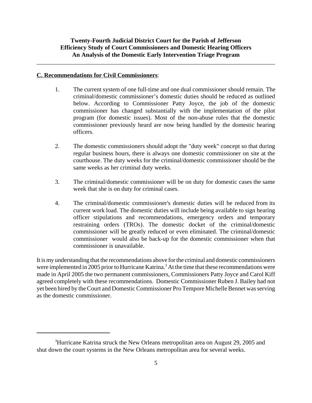\_\_\_\_\_\_\_\_\_\_\_\_\_\_\_\_\_\_\_\_\_\_\_\_\_\_\_\_\_\_\_\_\_\_\_\_\_\_\_\_\_\_\_\_\_\_\_\_\_\_\_\_\_\_\_\_\_\_\_\_\_\_\_\_\_\_\_\_\_\_\_\_\_\_\_\_\_\_

#### **C. Recommendations for Civil Commissioners**:

- 1. The current system of one full-time and one dual commissioner should remain. The criminal/domestic commissioner's domestic duties should be reduced as outlined below. According to Commissioner Patty Joyce, the job of the domestic commissioner has changed substantially with the implementation of the pilot program (for domestic issues). Most of the non-abuse rules that the domestic commissioner previously heard are now being handled by the domestic hearing officers.
- 2. The domestic commissioners should adopt the "duty week" concept so that during regular business hours, there is always one domestic commissioner on site at the courthouse. The duty weeks for the criminal/domestic commissioner should be the same weeks as her criminal duty weeks.
- 3. The criminal/domestic commissioner will be on duty for domestic cases the same week that she is on duty for criminal cases.
- 4. The criminal/domestic commissioner's domestic duties will be reduced from its current work load. The domestic duties will include being available to sign hearing officer stipulations and recommendations, emergency orders and temporary restraining orders (TROs). The domestic docket of the criminal/domestic commissioner will be greatly reduced or even eliminated. The criminal/domestic commissioner would also be back-up for the domestic commissioner when that commissioner is unavailable.

It is my understanding that the recommendations above for the criminal and domestic commissioners were implemented in 2005 prior to Hurricane Katrina.<sup>3</sup> At the time that these recommendations were made in April 2005 the two permanent commissioners, Commissioners Patty Joyce and Carol Kiff agreed completely with these recommendations. Domestic Commissioner Ruben J. Bailey had not yet been hired by the Court and Domestic Commissioner Pro Tempore Michelle Bennet was serving as the domestic commissioner.

<sup>&</sup>lt;sup>3</sup>Hurricane Katrina struck the New Orleans metropolitan area on August 29, 2005 and shut down the court systems in the New Orleans metropolitan area for several weeks.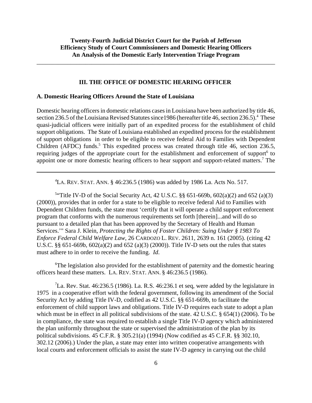\_\_\_\_\_\_\_\_\_\_\_\_\_\_\_\_\_\_\_\_\_\_\_\_\_\_\_\_\_\_\_\_\_\_\_\_\_\_\_\_\_\_\_\_\_\_\_\_\_\_\_\_\_\_\_\_\_\_\_\_\_\_\_\_\_\_\_\_\_\_\_\_\_\_\_\_\_\_

#### **III. THE OFFICE OF DOMESTIC HEARING OFFICER**

#### **A. Domestic Hearing Officers Around the State of Louisiana**

Domestic hearing officers in domestic relations cases in Louisiana have been authorized by title 46, section 236.5 of the Louisiana Revised Statutes since 1986 (hereafter title 46, section 236.5).<sup>4</sup> These quasi-judicial officers were initially part of an expedited process for the establishment of child support obligations. The State of Louisiana established an expedited process for the establishment of support obligations in order to be eligible to receive federal Aid to Families with Dependent Children (AFDC) funds.<sup>5</sup> This expedited process was created through title 46, section 236.5, requiring judges of the appropriate court for the establishment and enforcement of support<sup>6</sup> to appoint one or more domestic hearing officers to hear support and support-related matters.<sup>7</sup> The

 ${}^{4}$ LA. REV. STAT. ANN. § 46:236.5 (1986) was added by 1986 La. Acts No. 517.

5 "Title IV-D of the Social Security Act, 42 U.S.C. §§ 651-669b, 602(a)(2) and 652 (a)(3) (2000)), provides that in order for a state to be eligible to receive federal Aid to Families with Dependent Children funds, the state must 'certify that it will operate a child support enforcement program that conforms with the numerous requirements set forth [therein]...and will do so pursuant to a detailed plan that has been approved by the Secretary of Health and Human Services.'" Sara J. Klein, *Protecting the Rights of Foster Children: Suing Under § 1983 To Enforce Federal Child Welfare Law*, 26 CARDOZO L. REV. 2611, 2639 n. 161 (2005). (citing 42 U.S.C. §§ 651-669b, 602(a)(2) and 652 (a)(3) (2000)). Title IV-D sets out the rules that states must adhere to in order to receive the funding. *Id*.

<sup>6</sup>The legislation also provided for the establishment of paternity and the domestic hearing officers heard these matters. LA. REV. STAT. ANN. § 46:236.5 (1986).

<sup>7</sup>La. Rev. Stat. 46:236.5 (1986). La. R.S. 46:236.1 et seq, were added by the legislature in 1975 in a cooperative effort with the federal government, following its amendment of the Social Security Act by adding Title IV-D, codified as 42 U.S.C. §§ 651-669b, to facilitate the enforcement of child support laws and obligations. Title IV-D requires each state to adopt a plan which must be in effect in all political subdivisions of the state. 42 U.S.C. § 654(1) (2006). To be in compliance, the state was required to establish a single Title IV-D agency which administered the plan uniformly throughout the state or supervised the administration of the plan by its political subdivisions. 45 C.F.R. § 305.21(a) (1994) (Now codified as 45 C.F.R. §§ 302.10, 302.12 (2006).) Under the plan, a state may enter into written cooperative arrangements with local courts and enforcement officials to assist the state IV-D agency in carrying out the child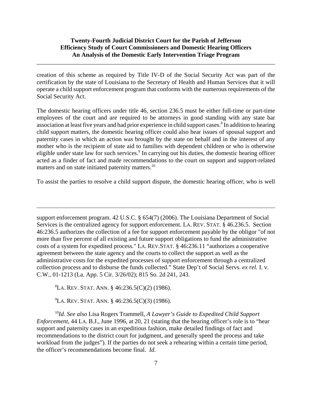\_\_\_\_\_\_\_\_\_\_\_\_\_\_\_\_\_\_\_\_\_\_\_\_\_\_\_\_\_\_\_\_\_\_\_\_\_\_\_\_\_\_\_\_\_\_\_\_\_\_\_\_\_\_\_\_\_\_\_\_\_\_\_\_\_\_\_\_\_\_\_\_\_\_\_\_\_\_

creation of this scheme as required by Title IV-D of the Social Security Act was part of the certification by the state of Louisiana to the Secretary of Health and Human Services that it will operate a child support enforcement program that conforms with the numerous requirements of the Social Security Act.

The domestic hearing officers under title 46, section 236.5 must be either full-time or part-time employees of the court and are required to be attorneys in good standing with any state bar association at least five years and had prior experience in child support cases.<sup>8</sup> In addition to hearing child support matters, the domestic hearing officer could also hear issues of spousal support and paternity cases in which an action was brought by the state on behalf and in the interest of any mother who is the recipient of state aid to families with dependent children or who is otherwise eligible under state law for such services.<sup>9</sup> In carrying out his duties, the domestic hearing officer acted as a finder of fact and made recommendations to the court on support and support-related matters and on state initiated paternity matters.<sup>10</sup>

To assist the parties to resolve a child support dispute, the domestic hearing officer, who is well

support enforcement program. 42 U.S.C. § 654(7) (2006). The Louisiana Department of Social Services is the centralized agency for support enforcement. LA. REV. STAT. § 46.236.5. Section 46:236.5 authorizes the collection of a fee for support enforcement payable by the obligor "of not more than five percent of all existing and future support obligations to fund the administrative costs of a system for expedited process." LA. REV.STAT. § 46:236.11 "authorizes a cooperative agreement between the state agency and the courts to collect the support as well as the administrative costs for the expedited processes of support enforcement through a centralized collection process and to disburse the funds collected." State Dep't of Social Servs. *ex rel.* I. v. C.W., 01-1213 (La. App. 5 Cir. 3/26/02); 815 So. 2d 241, 243.

 ${}^{8}$ La. Rev. Stat. Ann. § 46:236.5(C)(2) (1986).

 ${}^{9}$ La. Rev. Stat. Ann. § 46:236.5(C)(3) (1986).

<sup>10</sup>*Id*. *See also* Lisa Rogers Trammell, *A Lawyer's Guide to Expedited Child Support Enforcement*, 44 LA. B.J., June 1996, at 20, 21 (stating that the hearing officer's role is to "hear support and paternity cases in an expeditious fashion, make detailed findings of fact and recommendations to the district court for judgment, and generally speed the process and take workload from the judges"). If the parties do not seek a rehearing within a certain time period, the officer's recommendations become final. *Id*.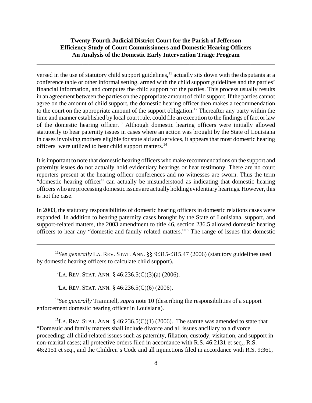\_\_\_\_\_\_\_\_\_\_\_\_\_\_\_\_\_\_\_\_\_\_\_\_\_\_\_\_\_\_\_\_\_\_\_\_\_\_\_\_\_\_\_\_\_\_\_\_\_\_\_\_\_\_\_\_\_\_\_\_\_\_\_\_\_\_\_\_\_\_\_\_\_\_\_\_\_\_

versed in the use of statutory child support guidelines,<sup>11</sup> actually sits down with the disputants at a conference table or other informal setting, armed with the child support guidelines and the parties' financial information, and computes the child support for the parties. This process usually results in an agreement between the parties on the appropriate amount of child support. If the parties cannot agree on the amount of child support, the domestic hearing officer then makes a recommendation to the court on the appropriate amount of the support obligation.<sup>12</sup> Thereafter any party within the time and manner established by local court rule, could file an exception to the findings of fact or law of the domestic hearing officer.13 Although domestic hearing officers were initially allowed statutorily to hear paternity issues in cases where an action was brought by the State of Louisiana in cases involving mothers eligible for state aid and services, it appears that most domestic hearing officers were utilized to hear child support matters.14

It is important to note that domestic hearing officers who make recommendations on the support and paternity issues do not actually hold evidentiary hearings or hear testimony. There are no court reporters present at the hearing officer conferences and no witnesses are sworn. Thus the term "domestic hearing officer" can actually be misunderstood as indicating that domestic hearing officers who are processing domestic issues are actually holding evidentiary hearings. However, this is not the case.

In 2003, the statutory responsibilities of domestic hearing officers in domestic relations cases were expanded. In addition to hearing paternity cases brought by the State of Louisiana, support, and support-related matters, the 2003 amendment to title 46, section 236.5 allowed domestic hearing officers to hear any "domestic and family related matters."15 The range of issues that domestic

<sup>11</sup>See generally LA. REV. STAT. ANN. §§ 9:315-:315.47 (2006) (statutory guidelines used by domestic hearing officers to calculate child support).

<sup>12</sup>LA. REV. STAT. ANN. § 46:236.5(C)(3)(a) (2006).

13LA. REV. STAT. ANN. § 46:236.5(C)(6) (2006).

<sup>14</sup>*See generally* Trammell, *supra* note 10 (describing the responsibilities of a support enforcement domestic hearing officer in Louisiana).

<sup>15</sup>LA. REV. STAT. ANN. § 46:236.5(C)(1) (2006). The statute was amended to state that "Domestic and family matters shall include divorce and all issues ancillary to a divorce proceeding; all child-related issues such as paternity, filiation, custody, visitation, and support in non-marital cases; all protective orders filed in accordance with R.S. 46:2131 et seq., R.S. 46:2151 et seq., and the Children's Code and all injunctions filed in accordance with R.S. 9:361,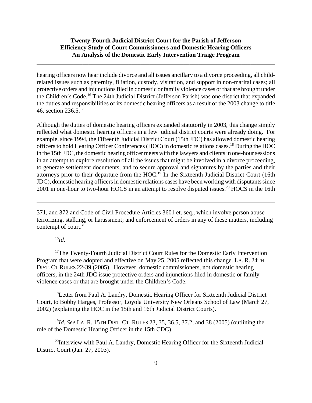\_\_\_\_\_\_\_\_\_\_\_\_\_\_\_\_\_\_\_\_\_\_\_\_\_\_\_\_\_\_\_\_\_\_\_\_\_\_\_\_\_\_\_\_\_\_\_\_\_\_\_\_\_\_\_\_\_\_\_\_\_\_\_\_\_\_\_\_\_\_\_\_\_\_\_\_\_\_

hearing officers now hear include divorce and all issues ancillary to a divorce proceeding, all childrelated issues such as paternity, filiation, custody, visitation, and support in non-marital cases; all protective orders and injunctions filed in domestic or family violence cases or that are brought under the Children's Code.16 The 24th Judicial District (Jefferson Parish) was one district that expanded the duties and responsibilities of its domestic hearing officers as a result of the 2003 change to title 46, section  $236.5^{17}$ 

Although the duties of domestic hearing officers expanded statutorily in 2003, this change simply reflected what domestic hearing officers in a few judicial district courts were already doing. For example, since 1994, the Fifteenth Judicial District Court (15th JDC) has allowed domestic hearing officers to hold Hearing Officer Conferences (HOC) in domestic relations cases.18 During the HOC in the 15th JDC, the domestic hearing officer meets with the lawyers and clients in one-hour sessions in an attempt to explore resolution of all the issues that might be involved in a divorce proceeding, to generate settlement documents, and to secure approval and signatures by the parties and their attorneys prior to their departure from the HOC.<sup>19</sup> In the Sixteenth Judicial District Court (16th JDC), domestic hearing officers in domestic relations cases have been working with disputants since 2001 in one-hour to two-hour HOCS in an attempt to resolve disputed issues.<sup>20</sup> HOCS in the 16th

371, and 372 and Code of Civil Procedure Articles 3601 et. seq., which involve person abuse terrorizing, stalking, or harassment; and enforcement of orders in any of these matters, including contempt of court."

#### $^{16}$ *Id*.

<sup>17</sup>The Twenty-Fourth Judicial District Court Rules for the Domestic Early Intervention Program that were adopted and effective on May 25, 2005 reflected this change. LA. R. 24TH DIST. CT RULES 22-39 (2005). However, domestic commissioners, not domestic hearing officers, in the 24th JDC issue protective orders and injunctions filed in domestic or family violence cases or that are brought under the Children's Code.

<sup>18</sup>Letter from Paul A. Landry, Domestic Hearing Officer for Sixteenth Judicial District Court, to Bobby Harges, Professor, Loyola University New Orleans School of Law (March 27, 2002) (explaining the HOC in the 15th and 16th Judicial District Courts).

<sup>19</sup>*Id*. *See* LA. R. 15TH DIST. CT. RULES 23, 35, 36.5, 37.2, and 38 (2005) (outlining the role of the Domestic Hearing Officer in the 15th CDC).

<sup>20</sup>Interview with Paul A. Landry, Domestic Hearing Officer for the Sixteenth Judicial District Court (Jan. 27, 2003).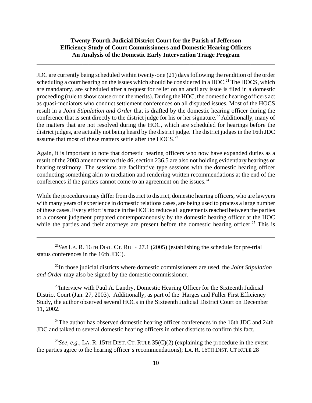\_\_\_\_\_\_\_\_\_\_\_\_\_\_\_\_\_\_\_\_\_\_\_\_\_\_\_\_\_\_\_\_\_\_\_\_\_\_\_\_\_\_\_\_\_\_\_\_\_\_\_\_\_\_\_\_\_\_\_\_\_\_\_\_\_\_\_\_\_\_\_\_\_\_\_\_\_\_

JDC are currently being scheduled within twenty-one (21) days following the rendition of the order scheduling a court hearing on the issues which should be considered in a  $HOC<sup>21</sup>$ . The HOCS, which are mandatory, are scheduled after a request for relief on an ancillary issue is filed in a domestic proceeding (rule to show cause or on the merits). During the HOC, the domestic hearing officers act as quasi-mediators who conduct settlement conferences on all disputed issues. Most of the HOCS result in a *Joint Stipulation and Order* that is drafted by the domestic hearing officer during the conference that is sent directly to the district judge for his or her signature.<sup>22</sup> Additionally, many of the matters that are not resolved during the HOC, which are scheduled for hearings before the district judges, are actually not being heard by the district judge. The district judges in the 16th JDC assume that most of these matters settle after the HOCS.<sup>23</sup>

Again, it is important to note that domestic hearing officers who now have expanded duties as a result of the 2003 amendment to title 46, section 236.5 are also not holding evidentiary hearings or hearing testimony. The sessions are facilitative type sessions with the domestic hearing officer conducting something akin to mediation and rendering written recommendations at the end of the conferences if the parties cannot come to an agreement on the issues. $24$ 

While the procedures may differ from district to district, domestic hearing officers, who are lawyers with many years of experience in domestic relations cases, are being used to process a large number of these cases. Every effort is made in the HOC to reduce all agreements reached between the parties to a consent judgment prepared contemporaneously by the domestic hearing officer at the HOC while the parties and their attorneys are present before the domestic hearing officer.<sup>25</sup> This is

<sup>21</sup>*See* LA. R. 16TH DIST. CT. RULE 27.1 (2005) (establishing the schedule for pre-trial status conferences in the 16th JDC).

22In those judicial districts where domestic commissioners are used, the *Joint Stipulation and Order* may also be signed by the domestic commissioner.

 $^{23}$ Interview with Paul A. Landry, Domestic Hearing Officer for the Sixteenth Judicial District Court (Jan. 27, 2003). Additionally, as part of the Harges and Fuller First Efficiency Study, the author observed several HOCs in the Sixteenth Judicial District Court on December 11, 2002.

<sup>24</sup>The author has observed domestic hearing officer conferences in the 16th JDC and 24th JDC and talked to several domestic hearing officers in other districts to confirm this fact.

<sup>25</sup>*See, e.g., LA. R.* 15TH DIST. CT. RULE  $35(C)(2)$  (explaining the procedure in the event the parties agree to the hearing officer's recommendations); LA. R. 16TH DIST. CT RULE 28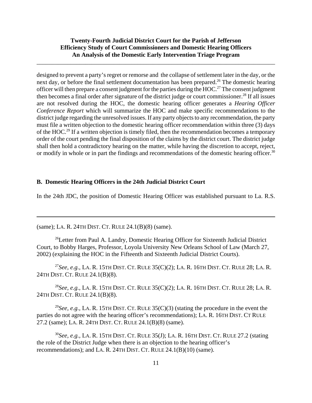\_\_\_\_\_\_\_\_\_\_\_\_\_\_\_\_\_\_\_\_\_\_\_\_\_\_\_\_\_\_\_\_\_\_\_\_\_\_\_\_\_\_\_\_\_\_\_\_\_\_\_\_\_\_\_\_\_\_\_\_\_\_\_\_\_\_\_\_\_\_\_\_\_\_\_\_\_\_

designed to prevent a party's regret or remorse and the collapse of settlement later in the day, or the next day, or before the final settlement documentation has been prepared.<sup>26</sup> The domestic hearing officer will then prepare a consent judgment for the parties during the HOC.27 The consent judgment then becomes a final order after signature of the district judge or court commissioner.<sup>28</sup> If all issues are not resolved during the HOC, the domestic hearing officer generates a *Hearing Officer Conference Report* which will summarize the HOC and make specific recommendations to the district judge regarding the unresolved issues. If any party objects to any recommendation, the party must file a written objection to the domestic hearing officer recommendation within three (3) days of the HOC.29 If a written objection is timely filed, then the recommendation becomes a temporary order of the court pending the final disposition of the claims by the district court. The district judge shall then hold a contradictory hearing on the matter, while having the discretion to accept, reject, or modify in whole or in part the findings and recommendations of the domestic hearing officer.<sup>30</sup>

#### **B. Domestic Hearing Officers in the 24th Judicial District Court**

In the 24th JDC, the position of Domestic Hearing Officer was established pursuant to La. R.S.

(same); LA. R. 24TH DIST. CT. RULE 24.1(B)(8) (same).

<sup>26</sup>Letter from Paul A. Landry, Domestic Hearing Officer for Sixteenth Judicial District Court, to Bobby Harges, Professor, Loyola University New Orleans School of Law (March 27, 2002) (explaining the HOC in the Fifteenth and Sixteenth Judicial District Courts).

<sup>27</sup>*See, e.g.,* LA. R. 15TH DIST. CT. RULE 35(C)(2); LA. R. 16TH DIST. CT. RULE 28; LA. R. 24TH DIST. CT. RULE 24.1(B)(8).

<sup>28</sup>*See, e.g.,* LA. R. 15TH DIST. CT. RULE 35(C)(2); LA. R. 16TH DIST. CT. RULE 28; LA. R. 24TH DIST. CT. RULE 24.1(B)(8).

<sup>29</sup>*See, e.g.,* LA. R. 15TH DIST. CT. RULE 35(C)(3) (stating the procedure in the event the parties do not agree with the hearing officer's recommendations); LA. R. 16TH DIST. CT RULE 27.2 (same); LA. R. 24TH DIST. CT. RULE 24.1(B)(8) (same).

<sup>30</sup>*See, e.g.,* LA. R. 15TH DIST. CT. RULE 35(J); LA. R. 16TH DIST. CT. RULE 27.2 (stating the role of the District Judge when there is an objection to the hearing officer's recommendations); and LA. R. 24TH DIST. CT. RULE 24.1(B)(10) (same).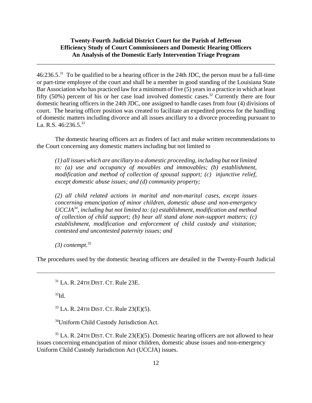\_\_\_\_\_\_\_\_\_\_\_\_\_\_\_\_\_\_\_\_\_\_\_\_\_\_\_\_\_\_\_\_\_\_\_\_\_\_\_\_\_\_\_\_\_\_\_\_\_\_\_\_\_\_\_\_\_\_\_\_\_\_\_\_\_\_\_\_\_\_\_\_\_\_\_\_\_\_

46:236.5.31 To be qualified to be a hearing officer in the 24th JDC, the person must be a full-time or part-time employee of the court and shall be a member in good standing of the Louisiana State Bar Association who has practiced law for a minimum of five (5) years in a practice in which at least fifty (50%) percent of his or her case load involved domestic cases.<sup>32</sup> Currently there are four domestic hearing officers in the 24th JDC, one assigned to handle cases from four (4) divisions of court. The hearing officer position was created to facilitate an expedited process for the handling of domestic matters including divorce and all issues ancillary to a divorce proceeding pursuant to La. R.S.  $46:236.5^{33}$ 

The domestic hearing officers act as finders of fact and make written recommendations to the Court concerning any domestic matters including but not limited to

*(1) all issues which are ancillary to a domestic proceeding, including but not limited to: (a) use and occupancy of movables and immovables; (b) establishment, modification and method of collection of spousal support; (c) injunctive relief, except domestic abuse issues; and (d) community property;* 

*(2) all child related actions in marital and non-marital cases, except issues concerning emancipation of minor children, domestic abuse and non-emergency UCCJA34, including but not limited to: (a) establishment, modification and method of collection of child support; (b) hear all stand alone non-support matters; (c) establishment, modification and enforcement of child custody and visitation; contested and uncontested paternity issues; and*

*(3) contempt.*35

The procedures used by the domestic hearing officers are detailed in the Twenty-Fourth Judicial

 $31$  LA. R. 24TH DIST. CT. Rule 23E.

 $32$ Id.

33 LA. R. 24TH DIST. CT. Rule 23(E)(5).

34Uniform Child Custody Jurisdiction Act.

 $35$  LA. R. 24TH DIST. CT. Rule 23(E)(5). Domestic hearing officers are not allowed to hear issues concerning emancipation of minor children, domestic abuse issues and non-emergency Uniform Child Custody Jurisdiction Act (UCCJA) issues.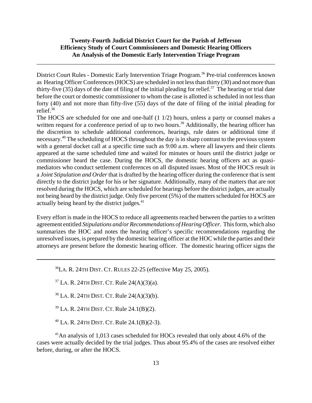\_\_\_\_\_\_\_\_\_\_\_\_\_\_\_\_\_\_\_\_\_\_\_\_\_\_\_\_\_\_\_\_\_\_\_\_\_\_\_\_\_\_\_\_\_\_\_\_\_\_\_\_\_\_\_\_\_\_\_\_\_\_\_\_\_\_\_\_\_\_\_\_\_\_\_\_\_\_

District Court Rules - Domestic Early Intervention Triage Program.<sup>36</sup> Pre-trial conferences known as Hearing Officer Conferences (HOCS) are scheduled in not less than thirty (30) and not more than thirty-five (35) days of the date of filing of the initial pleading for relief.<sup>37</sup> The hearing or trial date before the court or domestic commissioner to whom the case is allotted is scheduled in not less than forty (40) and not more than fifty-five (55) days of the date of filing of the initial pleading for relief.38

The HOCS are scheduled for one and one-half (1 1/2) hours, unless a party or counsel makes a written request for a conference period of up to two hours.<sup>39</sup> Additionally, the hearing officer has the discretion to schedule additional conferences, hearings, rule dates or additional time if necessary.40 The scheduling of HOCS throughout the day is in sharp contrast to the previous system with a general docket call at a specific time such as 9:00 a.m. where all lawyers and their clients appeared at the same scheduled time and waited for minutes or hours until the district judge or commissioner heard the case. During the HOCS, the domestic hearing officers act as quasimediators who conduct settlement conferences on all disputed issues. Most of the HOCS result in a *Joint Stipulation and Order* that is drafted by the hearing officer during the conference that is sent directly to the district judge for his or her signature. Additionally, many of the matters that are not resolved during the HOCS, which are scheduled for hearings before the district judges, are actually not being heard by the district judge. Only five percent (5%) of the matters scheduled for HOCS are actually being heard by the district judges.<sup>41</sup>

Every effort is made in the HOCS to reduce all agreements reached between the parties to a written agreement entitled *Stipulations and/or Recommendations of Hearing Officer.* This form, which also summarizes the HOC and notes the hearing officer's specific recommendations regarding the unresolved issues, is prepared by the domestic hearing officer at the HOC while the parties and their attorneys are present before the domestic hearing officer. The domestic hearing officer signs the

 $^{36}$ LA. R. 24TH DIST. CT. RULES 22-25 (effective May 25, 2005).

 $37$  LA. R. 24TH DIST. CT. Rule 24(A)(3)(a).

 $38$  LA. R. 24TH DIST. CT. Rule 24(A)(3)(b).

39 LA. R. 24TH DIST. CT. Rule 24.1(B)(2).

40 LA. R. 24TH DIST. CT. Rule 24.1(B)(2-3).

<sup>41</sup>An analysis of 1,013 cases scheduled for HOCs revealed that only about 4.6% of the cases were actually decided by the trial judges. Thus about 95.4% of the cases are resolved either before, during, or after the HOCS.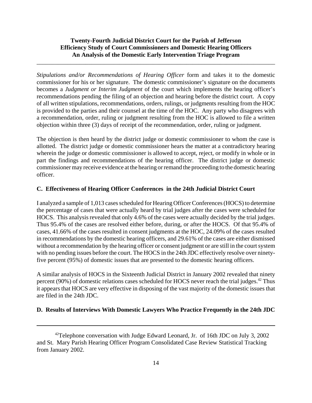\_\_\_\_\_\_\_\_\_\_\_\_\_\_\_\_\_\_\_\_\_\_\_\_\_\_\_\_\_\_\_\_\_\_\_\_\_\_\_\_\_\_\_\_\_\_\_\_\_\_\_\_\_\_\_\_\_\_\_\_\_\_\_\_\_\_\_\_\_\_\_\_\_\_\_\_\_\_

*Stipulations and/or Recommendations of Hearing Officer* form and takes it to the domestic commissioner for his or her signature. The domestic commissioner's signature on the documents becomes a *Judgment or Interim Judgment* of the court which implements the hearing officer's recommendations pending the filing of an objection and hearing before the district court. A copy of all written stipulations, recommendations, orders, rulings, or judgments resulting from the HOC is provided to the parties and their counsel at the time of the HOC. Any party who disagrees with a recommendation, order, ruling or judgment resulting from the HOC is allowed to file a written objection within three (3) days of receipt of the recommendation, order, ruling or judgment.

The objection is then heard by the district judge or domestic commissioner to whom the case is allotted. The district judge or domestic commissioner hears the matter at a contradictory hearing wherein the judge or domestic commissioner is allowed to accept, reject, or modify in whole or in part the findings and recommendations of the hearing officer. The district judge or domestic commissioner may receive evidence at the hearing or remand the proceeding to the domestic hearing officer.

#### **C. Effectiveness of Hearing Officer Conferences in the 24th Judicial District Court**

I analyzed a sample of 1,013 cases scheduled for Hearing Officer Conferences (HOCS) to determine the percentage of cases that were actually heard by trial judges after the cases were scheduled for HOCS. This analysis revealed that only 4.6% of the cases were actually decided by the trial judges. Thus 95.4% of the cases are resolved either before, during, or after the HOCS. Of that 95.4% of cases, 41.66% of the cases resulted in consent judgments at the HOC, 24.09% of the cases resulted in recommendations by the domestic hearing officers, and 29.61% of the cases are either dismissed without a recommendation by the hearing officer or consent judgment or are still in the court system with no pending issues before the court. The HOCS in the 24th JDC effectively resolve over ninetyfive percent (95%) of domestic issues that are presented to the domestic hearing officers.

A similar analysis of HOCS in the Sixteenth Judicial District in January 2002 revealed that ninety percent (90%) of domestic relations cases scheduled for HOCS never reach the trial judges.<sup>42</sup> Thus it appears that HOCS are very effective in disposing of the vast majority of the domestic issues that are filed in the 24th JDC.

#### **D. Results of Interviews With Domestic Lawyers Who Practice Frequently in the 24th JDC**

<sup>&</sup>lt;sup>42</sup>Telephone conversation with Judge Edward Leonard, Jr. of 16th JDC on July 3, 2002 and St. Mary Parish Hearing Officer Program Consolidated Case Review Statistical Tracking from January 2002.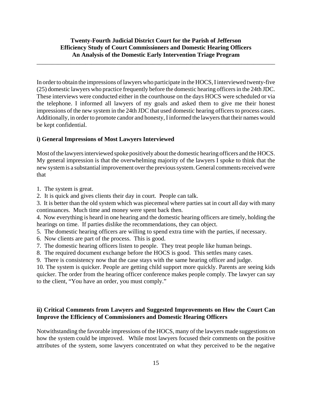\_\_\_\_\_\_\_\_\_\_\_\_\_\_\_\_\_\_\_\_\_\_\_\_\_\_\_\_\_\_\_\_\_\_\_\_\_\_\_\_\_\_\_\_\_\_\_\_\_\_\_\_\_\_\_\_\_\_\_\_\_\_\_\_\_\_\_\_\_\_\_\_\_\_\_\_\_\_

In order to obtain the impressions of lawyers who participate in the HOCS, I interviewed twenty-five (25) domestic lawyers who practice frequently before the domestic hearing officers in the 24th JDC. These interviews were conducted either in the courthouse on the days HOCS were scheduled or via the telephone. I informed all lawyers of my goals and asked them to give me their honest impressions of the new system in the 24th JDC that used domestic hearing officers to process cases. Additionally, in order to promote candor and honesty, I informed the lawyers that their names would be kept confidential.

#### **i) General Impressions of Most Lawyers Interviewed**

Most of the lawyers interviewed spoke positively about the domestic hearing officers and the HOCS. My general impression is that the overwhelming majority of the lawyers I spoke to think that the new system is a substantial improvement over the previous system. General comments received were that

- 1. The system is great.
- 2. It is quick and gives clients their day in court. People can talk.
- 3. It is better than the old system which was piecemeal where parties sat in court all day with many continuances. Much time and money were spent back then.

4. Now everything is heard in one hearing and the domestic hearing officers are timely, holding the hearings on time. If parties dislike the recommendations, they can object.

- 5. The domestic hearing officers are willing to spend extra time with the parties, if necessary.
- 6. Now clients are part of the process. This is good.
- 7. The domestic hearing officers listen to people. They treat people like human beings.
- 8. The required document exchange before the HOCS is good. This settles many cases.
- 9. There is consistency now that the case stays with the same hearing officer and judge.

10. The system is quicker. People are getting child support more quickly. Parents are seeing kids quicker. The order from the hearing officer conference makes people comply. The lawyer can say to the client, "You have an order, you must comply."

#### **ii) Critical Comments from Lawyers and Suggested Improvements on How the Court Can Improve the Efficiency of Commissioners and Domestic Hearing Officers**

Notwithstanding the favorable impressions of the HOCS, many of the lawyers made suggestions on how the system could be improved. While most lawyers focused their comments on the positive attributes of the system, some lawyers concentrated on what they perceived to be the negative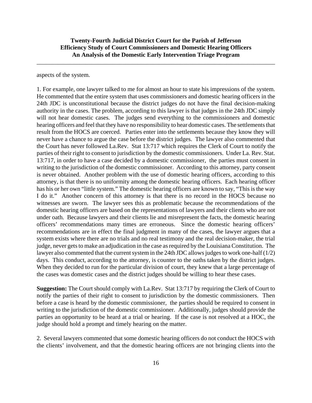\_\_\_\_\_\_\_\_\_\_\_\_\_\_\_\_\_\_\_\_\_\_\_\_\_\_\_\_\_\_\_\_\_\_\_\_\_\_\_\_\_\_\_\_\_\_\_\_\_\_\_\_\_\_\_\_\_\_\_\_\_\_\_\_\_\_\_\_\_\_\_\_\_\_\_\_\_\_

aspects of the system.

1. For example, one lawyer talked to me for almost an hour to state his impressions of the system. He commented that the entire system that uses commissioners and domestic hearing officers in the 24th JDC is unconstitutional because the district judges do not have the final decision-making authority in the cases. The problem, according to this lawyer is that judges in the 24th JDC simply will not hear domestic cases. The judges send everything to the commissioners and domestic hearing officers and feel that they have no responsibility to hear domestic cases. The settlements that result from the HOCS are coerced. Parties enter into the settlements because they know they will never have a chance to argue the case before the district judges. The lawyer also commented that the Court has never followed La.Rev. Stat 13:717 which requires the Clerk of Court to notify the parties of their right to consent to jurisdiction by the domestic commissioners. Under La. Rev. Stat. 13:717, in order to have a case decided by a domestic commissioner, the parties must consent in writing to the jurisdiction of the domestic commissioner. According to this attorney, party consent is never obtained. Another problem with the use of domestic hearing officers, according to this attorney, is that there is no uniformity among the domestic hearing officers. Each hearing officer has his or her own "little system." The domestic hearing officers are known to say, "This is the way I do it." Another concern of this attorney is that there is no record in the HOCS because no witnesses are sworn. The lawyer sees this as problematic because the recommendations of the domestic hearing officers are based on the representations of lawyers and their clients who are not under oath. Because lawyers and their clients lie and misrepresent the facts, the domestic hearing officers' recommendations many times are erroneous. Since the domestic hearing officers' recommendations are in effect the final judgment in many of the cases, the lawyer argues that a system exists where there are no trials and no real testimony and the real decision-maker, the trial judge, never gets to make an adjudication in the case as required by the Louisiana Constitution. The lawyer also commented that the current system in the 24th JDC allows judges to work one-half (1/2) days. This conduct, according to the attorney, is counter to the oaths taken by the district judges. When they decided to run for the particular division of court, they knew that a large percentage of the cases was domestic cases and the district judges should be willing to hear these cases.

**Suggestion:** The Court should comply with La.Rev. Stat 13:717 by requiring the Clerk of Court to notify the parties of their right to consent to jurisdiction by the domestic commissioners. Then before a case is heard by the domestic commissioner, the parties should be required to consent in writing to the jurisdiction of the domestic commissioner. Additionally, judges should provide the parties an opportunity to be heard at a trial or hearing. If the case is not resolved at a HOC, the judge should hold a prompt and timely hearing on the matter.

2. Several lawyers commented that some domestic hearing officers do not conduct the HOCS with the clients' involvement, and that the domestic hearing officers are not bringing clients into the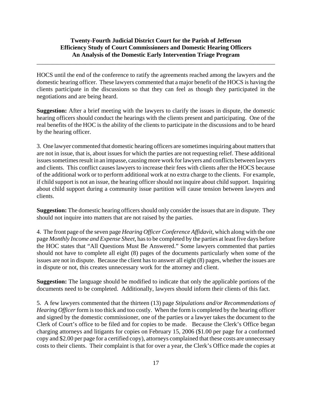\_\_\_\_\_\_\_\_\_\_\_\_\_\_\_\_\_\_\_\_\_\_\_\_\_\_\_\_\_\_\_\_\_\_\_\_\_\_\_\_\_\_\_\_\_\_\_\_\_\_\_\_\_\_\_\_\_\_\_\_\_\_\_\_\_\_\_\_\_\_\_\_\_\_\_\_\_\_

HOCS until the end of the conference to ratify the agreements reached among the lawyers and the domestic hearing officer. These lawyers commented that a major benefit of the HOCS is having the clients participate in the discussions so that they can feel as though they participated in the negotiations and are being heard.

**Suggestion:** After a brief meeting with the lawyers to clarify the issues in dispute, the domestic hearing officers should conduct the hearings with the clients present and participating. One of the real benefits of the HOC is the ability of the clients to participate in the discussions and to be heard by the hearing officer.

3. One lawyer commented that domestic hearing officers are sometimes inquiring about matters that are not in issue, that is, about issues for which the parties are not requesting relief. These additional issues sometimes result in an impasse, causing more work for lawyers and conflicts between lawyers and clients. This conflict causes lawyers to increase their fees with clients after the HOCS because of the additional work or to perform additional work at no extra charge to the clients. For example, if child support is not an issue, the hearing officer should not inquire about child support. Inquiring about child support during a community issue partition will cause tension between lawyers and clients.

**Suggestion:** The domestic hearing officers should only consider the issues that are in dispute. They should not inquire into matters that are not raised by the parties.

4. The front page of the seven page *Hearing Officer Conference Affidavit*, which along with the one page *Monthly Income and Expense Sheet*, has to be completed by the parties at least five days before the HOC states that "All Questions Must Be Answered." Some lawyers commented that parties should not have to complete all eight (8) pages of the documents particularly when some of the issues are not in dispute. Because the client has to answer all eight (8) pages, whether the issues are in dispute or not, this creates unnecessary work for the attorney and client.

**Suggestion:** The language should be modified to indicate that only the applicable portions of the documents need to be completed. Additionally, lawyers should inform their clients of this fact.

5. A few lawyers commented that the thirteen (13) page *Stipulations and/or Recommendations of Hearing Officer* form is too thick and too costly. When the form is completed by the hearing officer and signed by the domestic commissioner, one of the parties or a lawyer takes the document to the Clerk of Court's office to be filed and for copies to be made. Because the Clerk's Office began charging attorneys and litigants for copies on February 15, 2006 (\$1.00 per page for a conformed copy and \$2.00 per page for a certified copy), attorneys complained that these costs are unnecessary costs to their clients. Their complaint is that for over a year, the Clerk's Office made the copies at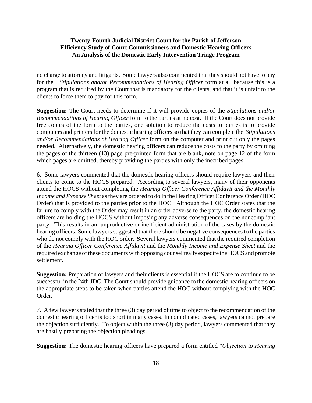\_\_\_\_\_\_\_\_\_\_\_\_\_\_\_\_\_\_\_\_\_\_\_\_\_\_\_\_\_\_\_\_\_\_\_\_\_\_\_\_\_\_\_\_\_\_\_\_\_\_\_\_\_\_\_\_\_\_\_\_\_\_\_\_\_\_\_\_\_\_\_\_\_\_\_\_\_\_

no charge to attorney and litigants. Some lawyers also commented that they should not have to pay for the *Stipulations and/or Recommendations of Hearing Officer* form at all because this is a program that is required by the Court that is mandatory for the clients, and that it is unfair to the clients to force them to pay for this form.

**Suggestion:** The Court needs to determine if it will provide copies of the *Stipulations and/or Recommendations of Hearing Officer* form to the parties at no cost. If the Court does not provide free copies of the form to the parties, one solution to reduce the costs to parties is to provide computers and printers for the domestic hearing officers so that they can complete the *Stipulations and/or Recommendations of Hearing Officer* form on the computer and print out only the pages needed. Alternatively, the domestic hearing officers can reduce the costs to the party by omitting the pages of the thirteen (13) page pre-printed form that are blank, note on page 12 of the form which pages are omitted, thereby providing the parties with only the inscribed pages.

6. Some lawyers commented that the domestic hearing officers should require lawyers and their clients to come to the HOCS prepared. According to several lawyers, many of their opponents attend the HOCS without completing the *Hearing Officer Conference Affidavit and the Monthly Income and Expense Sheet* as they are ordered to do in the Hearing Officer Conference Order (HOC Order) that is provided to the parties prior to the HOC. Although the HOC Order states that the failure to comply with the Order may result in an order adverse to the party, the domestic hearing officers are holding the HOCS without imposing any adverse consequences on the noncompliant party. This results in an unproductive or inefficient administration of the cases by the domestic hearing officers. Some lawyers suggested that there should be negative consequences to the parties who do not comply with the HOC order. Several lawyers commented that the required completion of the *Hearing Officer Conference Affidavit* and the *Monthly Income and Expense Sheet* and the required exchange of these documents with opposing counsel really expedite the HOCS and promote settlement.

**Suggestion:** Preparation of lawyers and their clients is essential if the HOCS are to continue to be successful in the 24th JDC. The Court should provide guidance to the domestic hearing officers on the appropriate steps to be taken when parties attend the HOC without complying with the HOC Order.

7. A few lawyers stated that the three (3) day period of time to object to the recommendation of the domestic hearing officer is too short in many cases. In complicated cases, lawyers cannot prepare the objection sufficiently. To object within the three (3) day period, lawyers commented that they are hastily preparing the objection pleadings.

**Suggestion:** The domestic hearing officers have prepared a form entitled "*Objection to Hearing*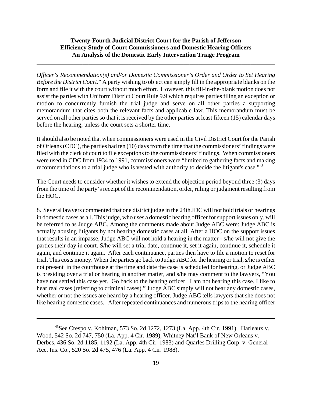\_\_\_\_\_\_\_\_\_\_\_\_\_\_\_\_\_\_\_\_\_\_\_\_\_\_\_\_\_\_\_\_\_\_\_\_\_\_\_\_\_\_\_\_\_\_\_\_\_\_\_\_\_\_\_\_\_\_\_\_\_\_\_\_\_\_\_\_\_\_\_\_\_\_\_\_\_\_

*Officer's Recommendation(s) and/or Domestic Commissioner's Order and Order to Set Hearing Before the District Court*." A party wishing to object can simply fill in the appropriate blanks on the form and file it with the court without much effort. However, this fill-in-the-blank motion does not assist the parties with Uniform District Court Rule 9.9 which requires parties filing an exception or motion to concurrently furnish the trial judge and serve on all other parties a supporting memorandum that cites both the relevant facts and applicable law. This memorandum must be served on all other parties so that it is received by the other parties at least fifteen (15) calendar days before the hearing, unless the court sets a shorter time.

It should also be noted that when commissioners were used in the Civil District Court for the Parish of Orleans (CDC), the parties had ten (10) days from the time that the commissioners' findings were filed with the clerk of court to file exceptions to the commissioners' findings. When commissioners were used in CDC from 1934 to 1991, commissioners were "limited to gathering facts and making recommendations to a trial judge who is vested with authority to decide the litigant's case."<sup>43</sup>

The Court needs to consider whether it wishes to extend the objection period beyond three (3) days from the time of the party's receipt of the recommendation, order, ruling or judgment resulting from the HOC.

8. Several lawyers commented that one district judge in the 24th JDC will not hold trials or hearings in domestic cases as all. This judge, who uses a domestic hearing officer for support issues only, will be referred to as Judge ABC. Among the comments made about Judge ABC were: Judge ABC is actually abusing litigants by not hearing domestic cases at all. After a HOC on the support issues that results in an impasse, Judge ABC will not hold a hearing in the matter - s/he will not give the parties their day in court. S/he will set a trial date, continue it, set it again, continue it, schedule it again, and continue it again. After each continuance, parties then have to file a motion to reset for trial. This costs money. When the parties go back to Judge ABC for the hearing or trial, s/he is either not present in the courthouse at the time and date the case is scheduled for hearing, or Judge ABC is presiding over a trial or hearing in another matter, and s/he may comment to the lawyers, "You have not settled this case yet. Go back to the hearing officer. I am not hearing this case. I like to hear real cases (referring to criminal cases)." Judge ABC simply will not hear any domestic cases, whether or not the issues are heard by a hearing officer. Judge ABC tells lawyers that she does not like hearing domestic cases. After repeated continuances and numerous trips to the hearing officer

 $43$ See Crespo v. Kohlman, 573 So. 2d 1272, 1273 (La. App. 4th Cir. 1991), Harleaux v. Wood, 542 So. 2d 747, 750 (La. App. 4 Cir. 1989), Whitney Nat'l Bank of New Orleans v. Derbes, 436 So. 2d 1185, 1192 (La. App. 4th Cir. 1983) and Quarles Drilling Corp. v. General Acc. Ins. Co., 520 So. 2d 475, 476 (La. App. 4 Cir. 1988).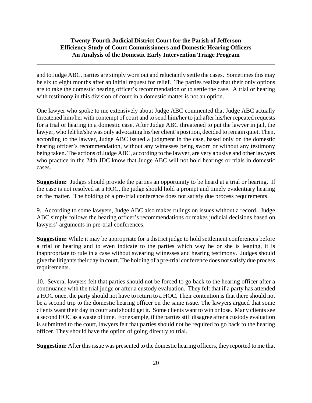\_\_\_\_\_\_\_\_\_\_\_\_\_\_\_\_\_\_\_\_\_\_\_\_\_\_\_\_\_\_\_\_\_\_\_\_\_\_\_\_\_\_\_\_\_\_\_\_\_\_\_\_\_\_\_\_\_\_\_\_\_\_\_\_\_\_\_\_\_\_\_\_\_\_\_\_\_\_

and to Judge ABC, parties are simply worn out and reluctantly settle the cases. Sometimes this may be six to eight months after an initial request for relief. The parties realize that their only options are to take the domestic hearing officer's recommendation or to settle the case. A trial or hearing with testimony in this division of court in a domestic matter is not an option.

One lawyer who spoke to me extensively about Judge ABC commented that Judge ABC actually threatened him/her with contempt of court and to send him/her to jail after his/her repeated requests for a trial or hearing in a domestic case. After Judge ABC threatened to put the lawyer in jail, the lawyer, who felt he/she was only advocating his/her client's position, decided to remain quiet. Then, according to the lawyer, Judge ABC issued a judgment in the case, based only on the domestic hearing officer's recommendation, without any witnesses being sworn or without any testimony being taken. The actions of Judge ABC, according to the lawyer, are very abusive and other lawyers who practice in the 24th JDC know that Judge ABC will not hold hearings or trials in domestic cases.

**Suggestion:** Judges should provide the parties an opportunity to be heard at a trial or hearing. If the case is not resolved at a HOC, the judge should hold a prompt and timely evidentiary hearing on the matter. The holding of a pre-trial conference does not satisfy due process requirements.

9. According to some lawyers, Judge ABC also makes rulings on issues without a record. Judge ABC simply follows the hearing officer's recommendations or makes judicial decisions based on lawyers' arguments in pre-trial conferences.

**Suggestion:** While it may be appropriate for a district judge to hold settlement conferences before a trial or hearing and to even indicate to the parties which way he or she is leaning, it is inappropriate to rule in a case without swearing witnesses and hearing testimony. Judges should give the litigants their day in court. The holding of a pre-trial conference does not satisfy due process requirements.

10. Several lawyers felt that parties should not be forced to go back to the hearing officer after a continuance with the trial judge or after a custody evaluation. They felt that if a party has attended a HOC once, the party should not have to return to a HOC. Their contention is that there should not be a second trip to the domestic hearing officer on the same issue. The lawyers argued that some clients want their day in court and should get it. Some clients want to win or lose. Many clients see a second HOC as a waste of time. For example, if the parties still disagree after a custody evaluation is submitted to the court, lawyers felt that parties should not be required to go back to the hearing officer. They should have the option of going directly to trial.

**Suggestion:** After this issue was presented to the domestic hearing officers, they reported to me that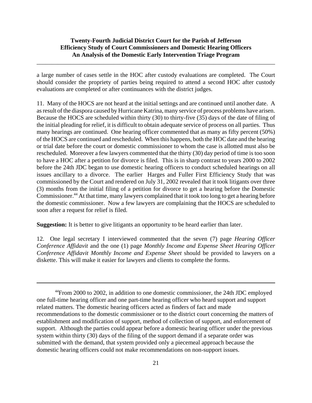\_\_\_\_\_\_\_\_\_\_\_\_\_\_\_\_\_\_\_\_\_\_\_\_\_\_\_\_\_\_\_\_\_\_\_\_\_\_\_\_\_\_\_\_\_\_\_\_\_\_\_\_\_\_\_\_\_\_\_\_\_\_\_\_\_\_\_\_\_\_\_\_\_\_\_\_\_\_

a large number of cases settle in the HOC after custody evaluations are completed. The Court should consider the propriety of parties being required to attend a second HOC after custody evaluations are completed or after continuances with the district judges.

11. Many of the HOCS are not heard at the initial settings and are continued until another date. A as result of the diaspora caused by Hurricane Katrina, many service of process problems have arisen. Because the HOCS are scheduled within thirty (30) to thirty-five (35) days of the date of filing of the initial pleading for relief, it is difficult to obtain adequate service of process on all parties. Thus many hearings are continued. One hearing officer commented that as many as fifty percent (50%) of the HOCS are continued and rescheduled. When this happens, both the HOC date and the hearing or trial date before the court or domestic commissioner to whom the case is allotted must also be rescheduled. Moreover a few lawyers commented that the thirty (30) day period of time is too soon to have a HOC after a petition for divorce is filed. This is in sharp contrast to years 2000 to 2002 before the 24th JDC began to use domestic hearing officers to conduct scheduled hearings on all issues ancillary to a divorce. The earlier Harges and Fuller First Efficiency Study that was commissioned by the Court and rendered on July 31, 2002 revealed that it took litigants over three (3) months from the initial filing of a petition for divorce to get a hearing before the Domestic Commissioner.<sup>44</sup> At that time, many lawyers complained that it took too long to get a hearing before the domestic commissioner. Now a few lawyers are complaining that the HOCS are scheduled to soon after a request for relief is filed.

**Suggestion:** It is better to give litigants an opportunity to be heard earlier than later.

12. One legal secretary I interviewed commented that the seven (7) page *Hearing Officer Conference Affidavit* and the one (1) page *Monthly Income and Expense Sheet Hearing Officer Conference Affidavit Monthly Income and Expense Sheet* should be provided to lawyers on a diskette. This will make it easier for lawyers and clients to complete the forms.

<sup>&</sup>lt;sup>44</sup>From 2000 to 2002, in addition to one domestic commissioner, the 24th JDC employed one full-time hearing officer and one part-time hearing officer who heard support and support related matters. The domestic hearing officers acted as finders of fact and made recommendations to the domestic commissioner or to the district court concerning the matters of establishment and modification of support, method of collection of support, and enforcement of support. Although the parties could appear before a domestic hearing officer under the previous system within thirty (30) days of the filing of the support demand if a separate order was submitted with the demand, that system provided only a piecemeal approach because the domestic hearing officers could not make recommendations on non-support issues.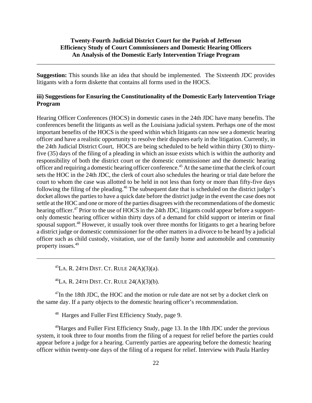\_\_\_\_\_\_\_\_\_\_\_\_\_\_\_\_\_\_\_\_\_\_\_\_\_\_\_\_\_\_\_\_\_\_\_\_\_\_\_\_\_\_\_\_\_\_\_\_\_\_\_\_\_\_\_\_\_\_\_\_\_\_\_\_\_\_\_\_\_\_\_\_\_\_\_\_\_\_

**Suggestion:** This sounds like an idea that should be implemented. The Sixteenth JDC provides litigants with a form diskette that contains all forms used in the HOCS.

#### **iii) Suggestions for Ensuring the Constitutionality of the Domestic Early Intervention Triage Program**

Hearing Officer Conferences (HOCS) in domestic cases in the 24th JDC have many benefits. The conferences benefit the litigants as well as the Louisiana judicial system. Perhaps one of the most important benefits of the HOCS is the speed within which litigants can now see a domestic hearing officer and have a realistic opportunity to resolve their disputes early in the litigation. Currently, in the 24th Judicial District Court, HOCS are being scheduled to be held within thirty (30) to thirtyfive (35) days of the filing of a pleading in which an issue exists which is within the authority and responsibility of both the district court or the domestic commissioner and the domestic hearing officer and requiring a domestic hearing officer conference.<sup>45</sup> At the same time that the clerk of court sets the HOC in the 24th JDC, the clerk of court also schedules the hearing or trial date before the court to whom the case was allotted to be held in not less than forty or more than fifty-five days following the filing of the pleading.<sup>46</sup> The subsequent date that is scheduled on the district judge's docket allows the parties to have a quick date before the district judge in the event the case does not settle at the HOC and one or more of the parties disagrees with the recommendations of the domestic hearing officer.<sup>47</sup> Prior to the use of HOCS in the 24th JDC, litigants could appear before a supportonly domestic hearing officer within thirty days of a demand for child support or interim or final spousal support.<sup>48</sup> However, it usually took over three months for litigants to get a hearing before a district judge or domestic commissioner for the other matters in a divorce to be heard by a judicial officer such as child custody, visitation, use of the family home and automobile and community property issues.49

 $^{45}$ LA. R. 24TH DIST. CT. RULE 24(A)(3)(a).

 $^{46}$ LA. R. 24TH DIST. CT. RULE 24(A)(3)(b).

 $47$ In the 18th JDC, the HOC and the motion or rule date are not set by a docket clerk on the same day. If a party objects to the domestic hearing officer's recommendation.

48 Harges and Fuller First Efficiency Study, page 9.

<sup>49</sup>Harges and Fuller First Efficiency Study, page 13. In the 18th JDC under the previous system, it took three to four months from the filing of a request for relief before the parties could appear before a judge for a hearing. Currently parties are appearing before the domestic hearing officer within twenty-one days of the filing of a request for relief. Interview with Paula Hartley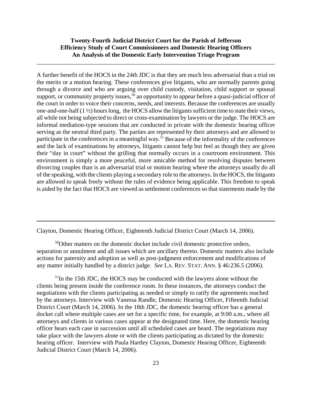\_\_\_\_\_\_\_\_\_\_\_\_\_\_\_\_\_\_\_\_\_\_\_\_\_\_\_\_\_\_\_\_\_\_\_\_\_\_\_\_\_\_\_\_\_\_\_\_\_\_\_\_\_\_\_\_\_\_\_\_\_\_\_\_\_\_\_\_\_\_\_\_\_\_\_\_\_\_

A further benefit of the HOCS in the 24th JDC is that they are much less adversarial than a trial on the merits or a motion hearing. These conferences give litigants, who are normally parents going through a divorce and who are arguing over child custody, visitation, child support or spousal support, or community property issues,<sup>50</sup> an opportunity to appear before a quasi-judicial officer of the court in order to voice their concerns, needs, and interests. Because the conferences are usually one-and-one-half  $(1 \frac{1}{2})$  hours long, the HOCS allow the litigants sufficient time to state their views, all while not being subjected to direct or cross-examination by lawyers or the judge. The HOCS are informal mediation-type sessions that are conducted in private with the domestic hearing officer serving as the neutral third party. The parties are represented by their attorneys and are allowed to participate in the conferences in a meaningful way.<sup>51</sup> Because of the informality of the conferences and the lack of examinations by attorneys, litigants cannot help but feel as though they are given their "day in court" without the grilling that normally occurs in a courtroom environment. This environment is simply a more peaceful, more amicable method for resolving disputes between divorcing couples than is an adversarial trial or motion hearing where the attorneys usually do all of the speaking, with the clients playing a secondary role to the attorneys. In the HOCS, the litigants are allowed to speak freely without the rules of evidence being applicable. This freedom to speak is aided by the fact that HOCS are viewed as settlement conferences so that statements made by the

Clayton, Domestic Hearing Officer, Eighteenth Judicial District Court (March 14, 2006).

 $50$ Other matters on the domestic docket include civil domestic protective orders, separation or annulment and all issues which are ancillary thereto. Domestic matters also include actions for paternity and adoption as well as post-judgment enforcement and modifications of any matter initially handled by a district judge. *See* LA. REV. STAT. ANN. § 46:236.5 (2006).

 $<sup>51</sup>$ In the 15th JDC, the HOCS may be conducted with the lawyers alone without the</sup> clients being present inside the conference room. In these instances, the attorneys conduct the negotiations with the clients participating as needed or simply to ratify the agreements reached by the attorneys. Interview with Vanessa Randle, Domestic Hearing Officer, Fifteenth Judicial District Court (March 14, 2006). In the 18th JDC, the domestic hearing officer has a general docket call where multiple cases are set for a specific time, for example, at 9:00 a.m., where all attorneys and clients in various cases appear at the designated time. Here, the domestic hearing officer hears each case in succession until all scheduled cases are heard. The negotiations may take place with the lawyers alone or with the clients participating as dictated by the domestic hearing officer. Interview with Paula Hartley Clayton, Domestic Hearing Officer, Eighteenth Judicial District Court (March 14, 2006).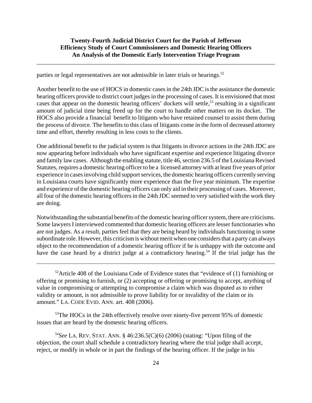\_\_\_\_\_\_\_\_\_\_\_\_\_\_\_\_\_\_\_\_\_\_\_\_\_\_\_\_\_\_\_\_\_\_\_\_\_\_\_\_\_\_\_\_\_\_\_\_\_\_\_\_\_\_\_\_\_\_\_\_\_\_\_\_\_\_\_\_\_\_\_\_\_\_\_\_\_\_

parties or legal representatives are not admissible in later trials or hearings.<sup>52</sup>

Another benefit to the use of HOCS in domestic cases in the 24th JDC is the assistance the domestic hearing officers provide to district court judges in the processing of cases. It is envisioned that most cases that appear on the domestic hearing officers' dockets will settle,<sup>53</sup> resulting in a significant amount of judicial time being freed up for the court to handle other matters on its docket. The HOCS also provide a financial benefit to litigants who have retained counsel to assist them during the process of divorce. The benefits to this class of litigants come in the form of decreased attorney time and effort, thereby resulting in less costs to the clients.

One additional benefit to the judicial system is that litigants in divorce actions in the 24th JDC are now appearing before individuals who have significant expertise and experience litigating divorce and family law cases. Although the enabling statute, title 46, section 236.5 of the Louisiana Revised Statutes, requires a domestic hearing officer to be a licensed attorney with at least five years of prior experience in cases involving child support services, the domestic hearing officers currently serving in Louisiana courts have significantly more experience than the five year minimum. The expertise and experience of the domestic hearing officers can only aid in their processing of cases. Moreover, all four of the domestic hearing officers in the 24th JDC seemed to very satisfied with the work they are doing.

Notwithstanding the substantial benefits of the domestic hearing officer system, there are criticisms. Some lawyers I interviewed commented that domestic hearing officers are lesser functionaries who are not judges. As a result, parties feel that they are being heard by individuals functioning in some subordinate role. However, this criticism is without merit when one considers that a party can always object to the recommendation of a domestic hearing officer if he is unhappy with the outcome and have the case heard by a district judge at a contradictory hearing.<sup>54</sup> If the trial judge has the

 $52$ Article 408 of the Louisiana Code of Evidence states that "evidence of (1) furnishing or offering or promising to furnish, or (2) accepting or offering or promising to accept, anything of value in compromising or attempting to compromise a claim which was disputed as to either validity or amount, is not admissible to prove liability for or invalidity of the claim or its amount." LA. CODE EVID. ANN. art. 408 (2006).

<sup>53</sup>The HOCs in the 24th effectively resolve over ninety-five percent 95% of domestic issues that are heard by the domestic hearing officers.

<sup>54</sup>*See* LA. REV. STAT. ANN. § 46:236.5(C)(6) (2006) (stating: "Upon filing of the objection, the court shall schedule a contradictory hearing where the trial judge shall accept, reject, or modify in whole or in part the findings of the hearing officer. If the judge in his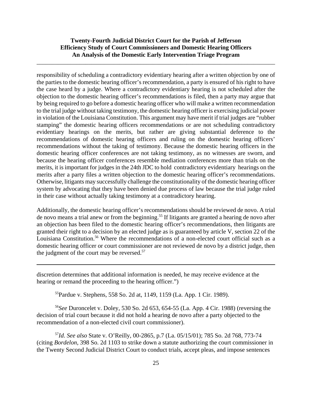\_\_\_\_\_\_\_\_\_\_\_\_\_\_\_\_\_\_\_\_\_\_\_\_\_\_\_\_\_\_\_\_\_\_\_\_\_\_\_\_\_\_\_\_\_\_\_\_\_\_\_\_\_\_\_\_\_\_\_\_\_\_\_\_\_\_\_\_\_\_\_\_\_\_\_\_\_\_

responsibility of scheduling a contradictory evidentiary hearing after a written objection by one of the parties to the domestic hearing officer's recommendation, a party is ensured of his right to have the case heard by a judge. Where a contradictory evidentiary hearing is not scheduled after the objection to the domestic hearing officer's recommendations is filed, then a party may argue that by being required to go before a domestic hearing officer who will make a written recommendation to the trial judge without taking testimony, the domestic hearing officer is exercising judicial power in violation of the Louisiana Constitution. This argument may have merit if trial judges are "rubber stamping" the domestic hearing officers recommendations or are not scheduling contradictory evidentiary hearings on the merits, but rather are giving substantial deference to the recommendations of domestic hearing officers and ruling on the domestic hearing officers' recommendations without the taking of testimony. Because the domestic hearing officers in the domestic hearing officer conferences are not taking testimony, as no witnesses are sworn, and because the hearing officer conferences resemble mediation conferences more than trials on the merits, it is important for judges in the 24th JDC to hold contradictory evidentiary hearings on the merits after a party files a written objection to the domestic hearing officer's recommendations. Otherwise, litigants may successfully challenge the constitutionality of the domestic hearing officer system by advocating that they have been denied due process of law because the trial judge ruled in their case without actually taking testimony at a contradictory hearing.

Additionally, the domestic hearing officer's recommendations should be reviewed de novo. A trial de novo means a trial anew or from the beginning.<sup>55</sup> If litigants are granted a hearing de novo after an objection has been filed to the domestic hearing officer's recommendations, then litigants are granted their right to a decision by an elected judge as is guaranteed by article V, section 22 of the Louisiana Constitution.<sup>56</sup> Where the recommendations of a non-elected court official such as a domestic hearing officer or court commissioner are not reviewed de novo by a district judge, then the judgment of the court may be reversed. $57$ 

discretion determines that additional information is needed, he may receive evidence at the hearing or remand the proceeding to the hearing officer."

55Pardue v. Stephens, 558 So. 2d at, 1149, 1159 (La. App. 1 Cir. 1989).

<sup>56</sup>*See* Duroncelet v. Doley, 530 So. 2d 653, 654-55 (La. App. 4 Cir. 1988) (reversing the decision of trial court because it did not hold a hearing de novo after a party objected to the recommendation of a non-elected civil court commissioner).

<sup>57</sup>*Id*. *See also* State v. O'Reilly, 00-2865, p.7 (La. 05/15/01); 785 So. 2d 768, 773-74 (citing *Bordelon*, 398 So. 2d 1103 to strike down a statute authorizing the court commissioner in the Twenty Second Judicial District Court to conduct trials, accept pleas, and impose sentences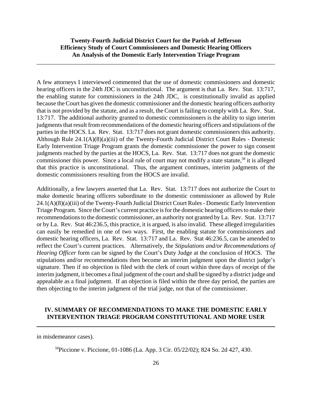\_\_\_\_\_\_\_\_\_\_\_\_\_\_\_\_\_\_\_\_\_\_\_\_\_\_\_\_\_\_\_\_\_\_\_\_\_\_\_\_\_\_\_\_\_\_\_\_\_\_\_\_\_\_\_\_\_\_\_\_\_\_\_\_\_\_\_\_\_\_\_\_\_\_\_\_\_\_

A few attorneys I interviewed commented that the use of domestic commissioners and domestic hearing officers in the 24th JDC is unconstitutional. The argument is that La. Rev. Stat. 13:717, the enabling statute for commissioners in the 24th JDC, is constitutionally invalid as applied because the Court has given the domestic commissioner and the domestic hearing officers authority that is not provided by the statute, and as a result, the Court is failing to comply with La. Rev. Stat. 13:717. The additional authority granted to domestic commissioners is the ability to sign interim judgments that result from recommendations of the domestic hearing officers and stipulations of the parties in the HOCS. La. Rev. Stat. 13:717 does not grant domestic commissioners this authority. Although Rule 24.1(A)(8)(a)(iii) of the Twenty-Fourth Judicial District Court Rules - Domestic Early Intervention Triage Program grants the domestic commissioner the power to sign consent judgments reached by the parties at the HOCS, La. Rev. Stat. 13:717 does not grant the domestic commissioner this power. Since a local rule of court may not modify a state statute,<sup>58</sup> it is alleged that this practice is unconstitutional. Thus, the argument continues, interim judgments of the domestic commissioners resulting from the HOCS are invalid.

Additionally, a few lawyers asserted that La. Rev. Stat. 13:717 does not authorize the Court to make domestic hearing officers subordinate to the domestic commissioner as allowed by Rule 24.1(A)(8)(a)(iii) of the Twenty-Fourth Judicial District Court Rules - Domestic Early Intervention Triage Program. Since the Court's current practice is for the domestic hearing officers to make their recommendations to the domestic commissioner, an authority not granted by La. Rev. Stat. 13:717 or by La. Rev. Stat 46:236.5, this practice, it is argued, is also invalid. These alleged irregularities can easily be remedied in one of two ways. First, the enabling statute for commissioners and domestic hearing officers, La. Rev. Stat. 13:717 and La. Rev. Stat 46:236.5, can be amended to reflect the Court's current practices. Alternatively, the *Stipulations and/or Recommendations of Hearing Officer* form can be signed by the Court's Duty Judge at the conclusion of HOCS. The stipulations and/or recommendations then become an interim judgment upon the district judge's signature. Then if no objection is filed with the clerk of court within three days of receipt of the interim judgment, it becomes a final judgment of the court and shall be signed by a district judge and appealable as a final judgment. If an objection is filed within the three day period, the parties are then objecting to the interim judgment of the trial judge, not that of the commissioner.

### **IV. SUMMARY OF RECOMMENDATIONS TO MAKE THE DOMESTIC EARLY INTERVENTION TRIAGE PROGRAM CONSTITUTIONAL AND MORE USER**

in misdemeanor cases).

58Piccione v. Piccione, 01-1086 (La. App. 3 Cir. 05/22/02); 824 So. 2d 427, 430.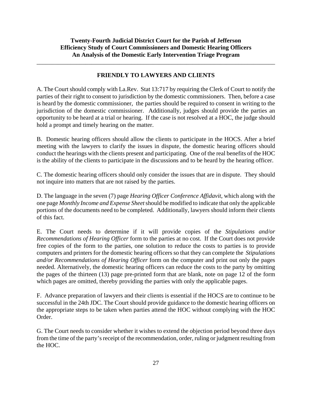\_\_\_\_\_\_\_\_\_\_\_\_\_\_\_\_\_\_\_\_\_\_\_\_\_\_\_\_\_\_\_\_\_\_\_\_\_\_\_\_\_\_\_\_\_\_\_\_\_\_\_\_\_\_\_\_\_\_\_\_\_\_\_\_\_\_\_\_\_\_\_\_\_\_\_\_\_\_

#### **FRIENDLY TO LAWYERS AND CLIENTS**

A. The Court should comply with La.Rev. Stat 13:717 by requiring the Clerk of Court to notify the parties of their right to consent to jurisdiction by the domestic commissioners. Then, before a case is heard by the domestic commissioner, the parties should be required to consent in writing to the jurisdiction of the domestic commissioner. Additionally, judges should provide the parties an opportunity to be heard at a trial or hearing. If the case is not resolved at a HOC, the judge should hold a prompt and timely hearing on the matter.

B. Domestic hearing officers should allow the clients to participate in the HOCS. After a brief meeting with the lawyers to clarify the issues in dispute, the domestic hearing officers should conduct the hearings with the clients present and participating. One of the real benefits of the HOC is the ability of the clients to participate in the discussions and to be heard by the hearing officer.

C. The domestic hearing officers should only consider the issues that are in dispute. They should not inquire into matters that are not raised by the parties.

D. The language in the seven (7) page *Hearing Officer Conference Affidavit*, which along with the one page *Monthly Income and Expense Sheet* should be modified to indicate that only the applicable portions of the documents need to be completed. Additionally, lawyers should inform their clients of this fact.

E. The Court needs to determine if it will provide copies of the *Stipulations and/or Recommendations of Hearing Officer* form to the parties at no cost. If the Court does not provide free copies of the form to the parties, one solution to reduce the costs to parties is to provide computers and printers for the domestic hearing officers so that they can complete the *Stipulations and/or Recommendations of Hearing Officer* form on the computer and print out only the pages needed. Alternatively, the domestic hearing officers can reduce the costs to the party by omitting the pages of the thirteen (13) page pre-printed form that are blank, note on page 12 of the form which pages are omitted, thereby providing the parties with only the applicable pages.

F. Advance preparation of lawyers and their clients is essential if the HOCS are to continue to be successful in the 24th JDC. The Court should provide guidance to the domestic hearing officers on the appropriate steps to be taken when parties attend the HOC without complying with the HOC Order.

G. The Court needs to consider whether it wishes to extend the objection period beyond three days from the time of the party's receipt of the recommendation, order, ruling or judgment resulting from the HOC.